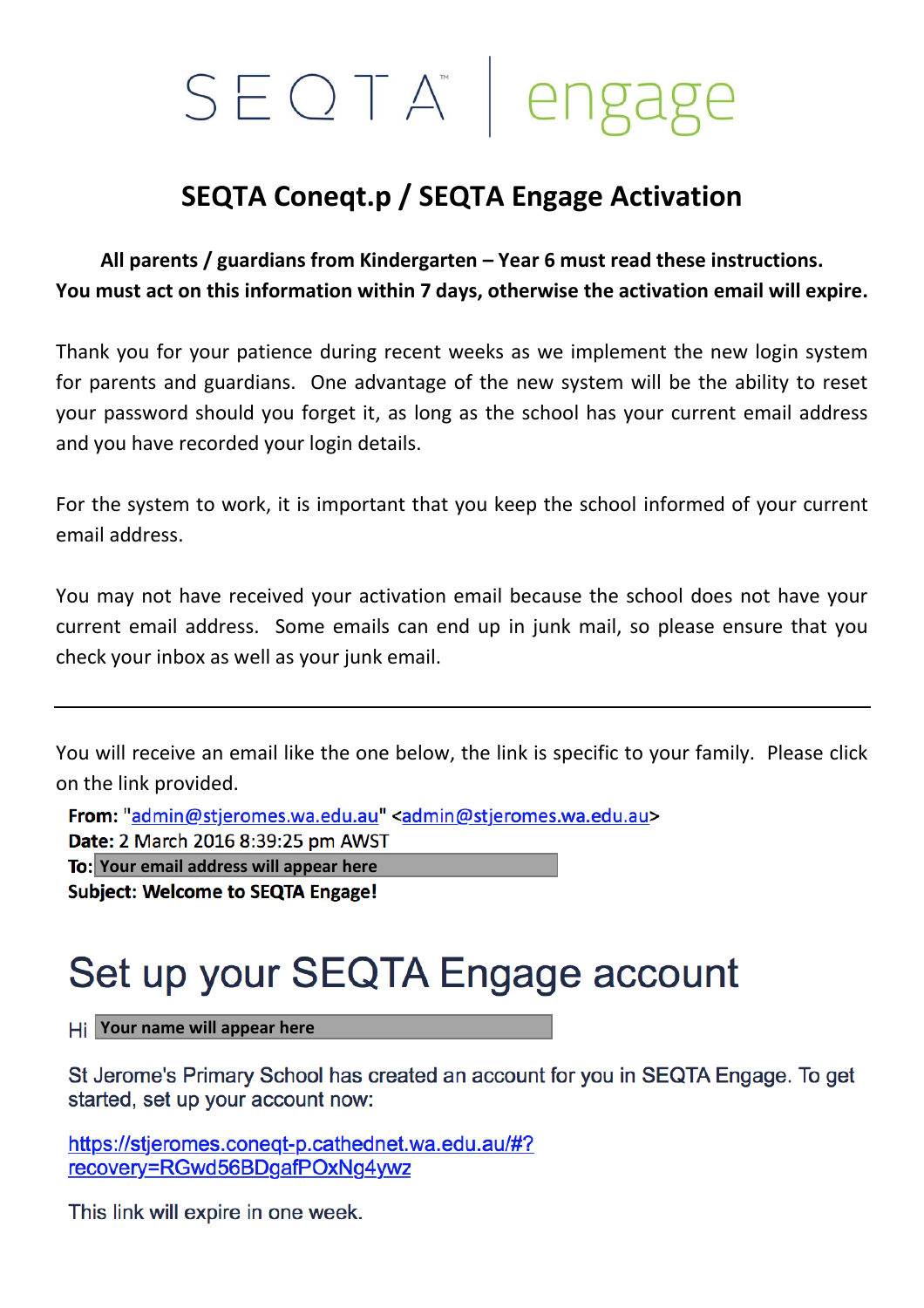## SEOTA<sup>®</sup> | engage

## **SEQTA Coneqt.p / SEQTA Engage Activation**

**All parents / guardians from Kindergarten – Year 6 must read these instructions. You must act on this information within 7 days, otherwise the activation email will expire.**

Thank you for your patience during recent weeks as we implement the new login system for parents and guardians. One advantage of the new system will be the ability to reset your password should you forget it, as long as the school has your current email address and you have recorded your login details.

For the system to work, it is important that you keep the school informed of your current email address.

You may not have received your activation email because the school does not have your current email address. Some emails can end up in junk mail, so please ensure that you check your inbox as well as your junk email.

You will receive an email like the one below, the link is specific to your family. Please click on the link provided.

From: "admin@stjeromes.wa.edu.au" <admin@stjeromes.wa.edu.au> Date: 2 March 2016 8:39:25 pm AWST

**Your email address will appear here**

**Subject: Welcome to SEQTA Engage!** 

## Set up your SEQTA Engage account

**Your name will appear here**

St Jerome's Primary School has created an account for you in SEQTA Engage. To get started, set up your account now:

https://stjeromes.coneqt-p.cathednet.wa.edu.au/#? recovery=RGwd56BDgafPOxNg4ywz

This link will expire in one week.